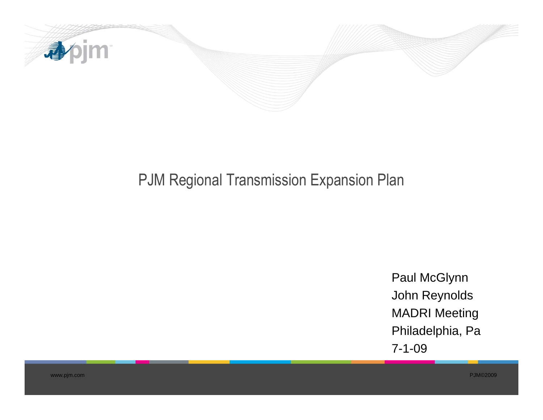

# PJM Regional Transmission Expansion Plan

Paul McGlynn John Reynolds MADRI Meeting Philadelphia, Pa 7-1-09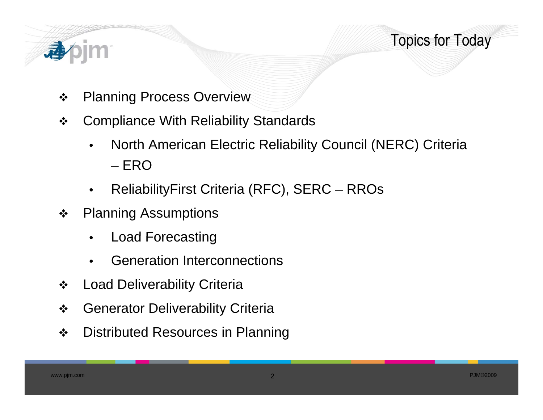

- $\bullet$ Planning Process Overview
- $\frac{1}{2}$  Compliance With Reliability Standards
	- • North American Electric Reliability Council (NERC) Criteria – ERO
	- $\bullet$ ReliabilityFirst Criteria (RFC), SERC – RROs
- $\cdot$  Planning Assumptions
	- $\bullet$ Load Forecasting
	- •**•** Generation Interconnections
- $\bullet^*_{\bullet}\bullet$ Load Deliverability Criteria
- $\frac{1}{2}$ Generator Deliverability Criteria
- $\bullet^{\bullet}_{\bullet} \bullet$ Distributed Resources in Planning

Topics for Today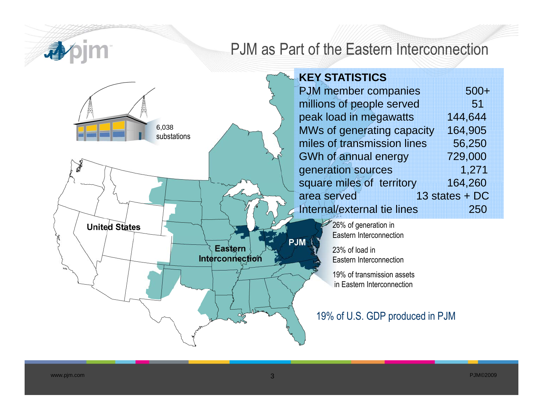apim

# PJM as Part of the Eastern Interconnection

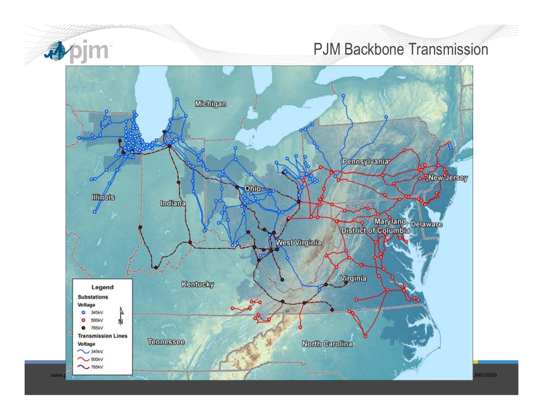

### PJM Backbone Transmission

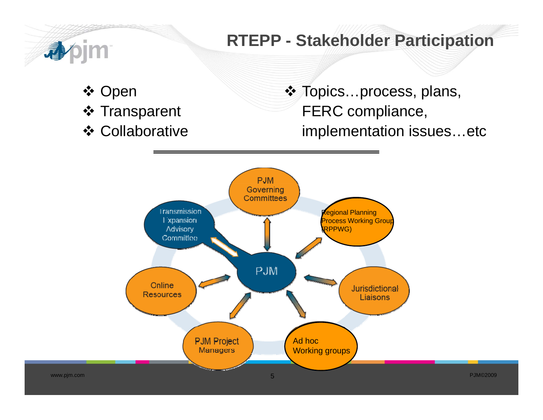

# **RTEPP - Stakeholder Participation**

- ❖ Open
- ❖ Transparent
- **❖ Collaborative**

❖ Topics…process, plans, FERC compliance, implementation issues etc …etc

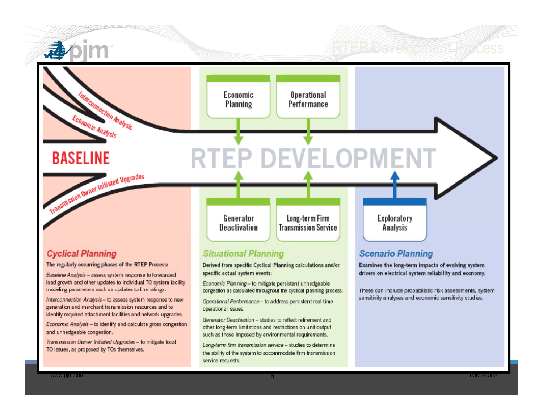

#### **Cyclical Planning**

The regularly occurring phases of the RTEP Process:

Baseline Analysis - assess system response to forecasted load growth and other updates to individual TO system facility modeling parameters such as updates to line ratings.

Interconnection Analysis - to assess system response to new generation and merchant transmission resources and to identify required attachment facilities and network upgrades.

Economic Analysis - to identify and calculate gross congestion and unhedgeable congestion.

Transmission Owner Initiated Upgrades - to mitigate local TO issues, as proposed by TOs themselves.

#### **Situational Planning**

Derived from specific Cyclical Planning calculations and/or specific actual system events:

Economic Planning - to mitigate persistent unhedgeable congestion as calculated throughout the cyclical planning process.

Operational Performance - to address persistent real-time operational issues.

Generator Deactivation - studies to reflect retirement and other long-term limitations and restrictions on unit output such as those imposed by environmental requirements.

Long-term firm transmission service - studies to determine the ability of the system to accommodate firm transmission service requests.

#### **Scenario Planning**

Examines the long-term impacts of evolving system drivers on electrical system reliability and economy.

These can include probabilistic risk assessments, system sensitivity analyses and economic sensitivity studies.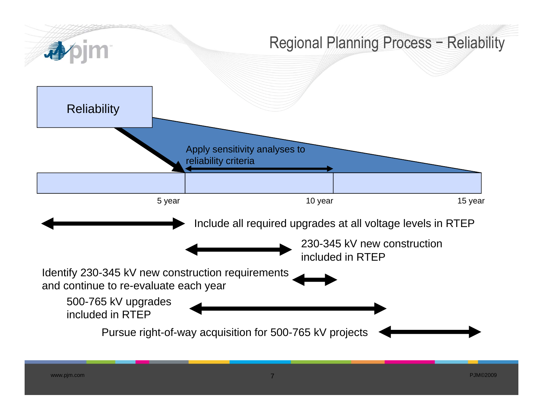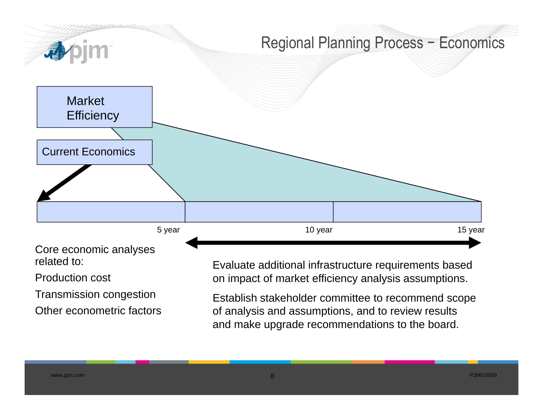

Production cost

Transmission congestion

Other econometric factors

Evaluate additional infrastructure requirements based on impact of market efficiency analysis assumptions.

Establish stakeholder committee to recommend scope of analysis and assumptions, and to review results and make upgrade recommendations to the board.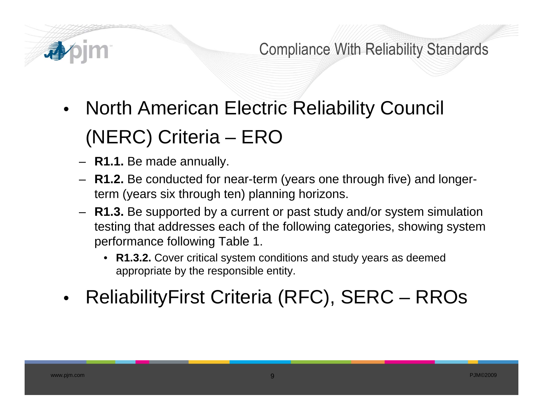

Compliance With Reliability Standards

- • North American Electric Reliability Council (NERC) Criteria – ERO
	- **R1.1.** Be made annually.
	- **R1.2.** Be conducted for near-term (years one through five) and longerterm (years six through ten) planning horizons.
	- **R1.3.** Be supported by a current or past study and/or system simulation testing that addresses each of the following categories, showing system performance following Table 1.
		- **R1.3.2.** Cover critical system conditions and study years as deemed appropriate by the responsible entity.
- •• ReliabilityFirst Criteria (RFC), SERC – RROs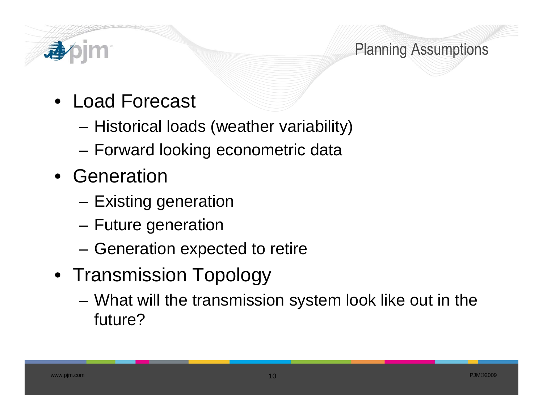

## Planning Assumptions

- Load Forecast
	- –– Historical loads (weather variability)
	- –Forward looking econometric data
- Generation
	- –Existing generation
	- –Future generation
	- –Generation expected to retire
- Transmission Topology
	- – What will the transmission system look like out in the future?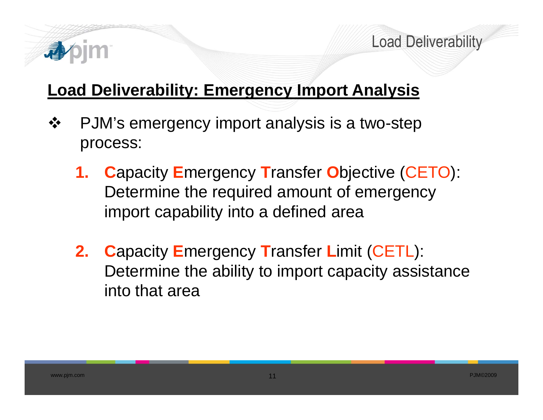

Load Deliverability

# **Load Deliverability: Emergency Import Analysis**

- $\frac{1}{2}$ PJM's emergency import analysis is a two-step process:
	- **1. C**apacity **E**mergency **T**ransfer **O**bjective (CETO): Determine the required amount of emergency import capability into a defined area
	- **2. C**apacity **E**mergency **T**ransfer **L**imit (CETL): Determine the ability to import capacity assistance into that area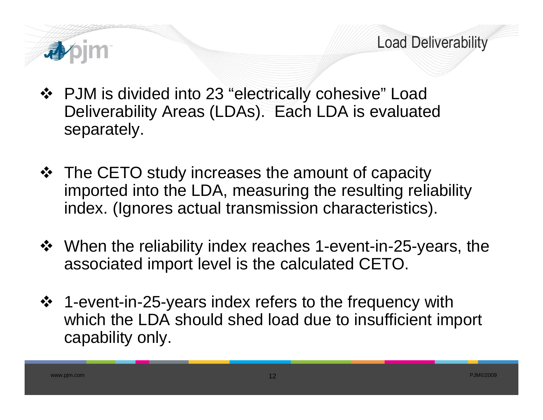

- PJM is divided into 23 "electrically cohesive" Load Deliverability Areas (LDAs). Each LDA is evaluated separately.
- The CETO study increases the amount of capacity imported into the LDA, measuring the resulting reliability index. (Ignores actual transmission characteristics).
- When the reliability index reaches 1-event-in-25-years, the associated import level is the calculated CETO.
- 1-event-in-25-years index refers to the frequency with which the LDA should shed load due to insufficient import capability only.

Load Deliverability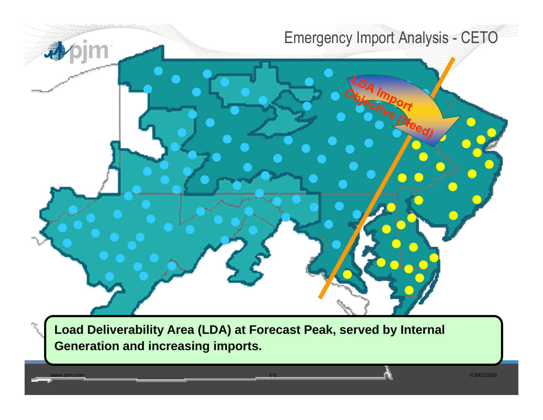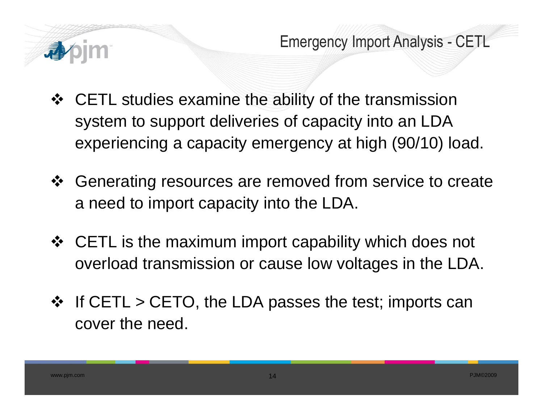

Emergency Import Analysis - CETL

- CETL studies examine the ability of the transmission system to support deliveries of capacity into an LDA experiencing a capacity emergency at high (90/10) load.
- ❖ Generating resources are removed from service to create a need to import capacity into the LDA.
- ❖ CETL is the maximum import capability which does not overload transmission or cause low voltages in the LDA.
- $\div$  If CETL > CETO, the LDA passes the test; imports can cover the need.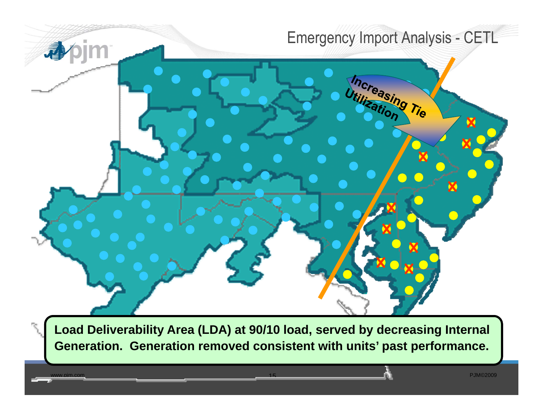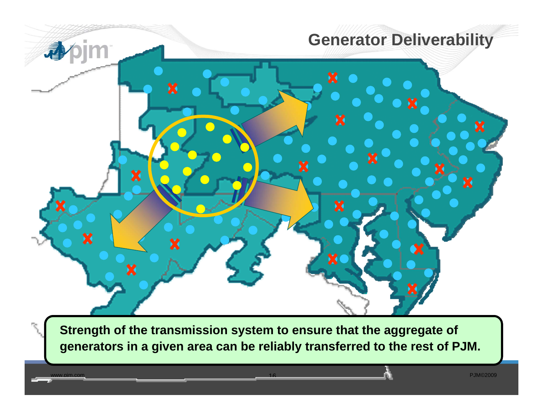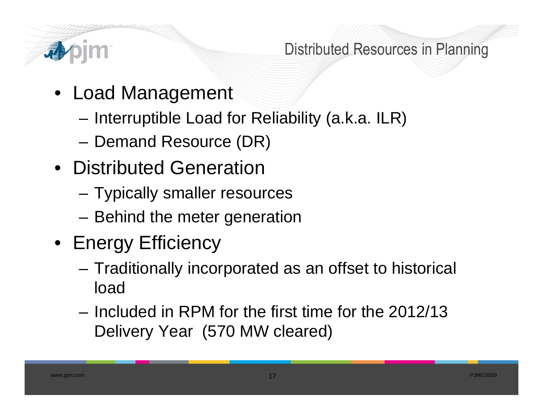

### Distributed Resources in Planning

- Load Management
	- –Interruptible Load for Reliability (a.k.a. ILR)
	- –Demand Resource (DR)
- Distributed Generation
	- –Typically smaller resources
	- –Behind the meter generation
- Energy Efficiency
	- – Traditionally incorporated as an offset to historical load
	- Included in RPM for the first time for the 2012/13 Delivery Year (570 MW cleared)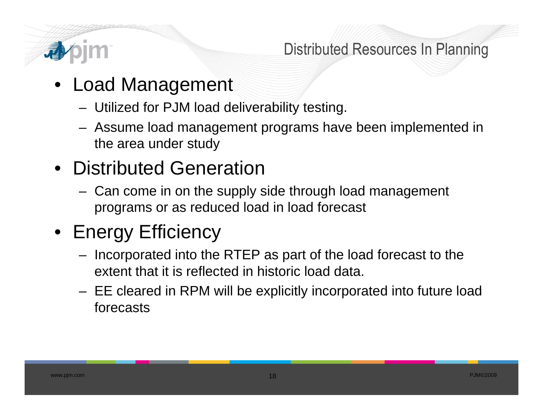

Distributed Resources In Planning

- Load Management
	- Utilized for PJM load deliverability testing.
	- Assume load management programs have been implemented in the area under study

# • Distributed Generation

 Can come in on the supply side through load management programs or as reduced load in load forecast

# • Energy Efficiency

- Incorporated into the RTEP as part of the load forecast to the extent that it is reflected in historic load data.
- $-$  EE cleared in RPM will be explicitly incorporated into future load forecasts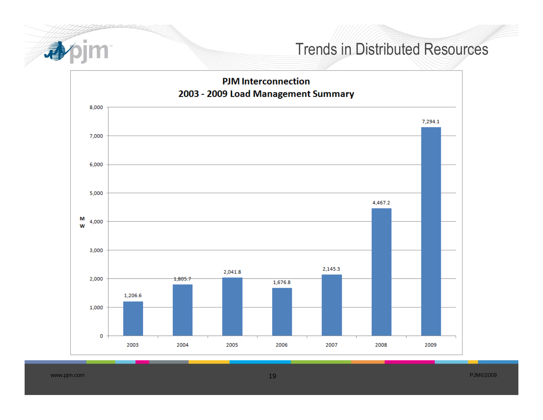

#### Trends in Distributed Resources



PJM©2009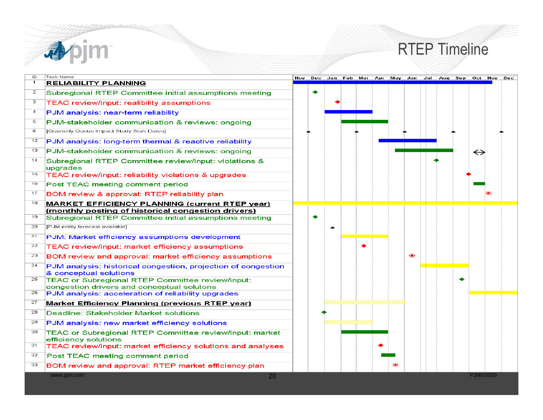

### RTEP Timeline

| ID<br>$\mathbf{1}$ | Task Name<br><b>RELIABILITY PLANNING</b>                                                                     |  |  |  |               | Nov Dec Jan Feb Mar Apr May Jun Jul Aug Sep Oct Nov Dec |                   |  |
|--------------------|--------------------------------------------------------------------------------------------------------------|--|--|--|---------------|---------------------------------------------------------|-------------------|--|
| 2                  | Subregional RTEP Committee initial assumptions meeting                                                       |  |  |  |               |                                                         |                   |  |
| з                  | TEAC review/input: realibility assumptions                                                                   |  |  |  |               |                                                         |                   |  |
| $\overline{4}$     | PJM analysis: near-term reliability                                                                          |  |  |  |               |                                                         |                   |  |
| 5.                 | PJM-stakeholder communication & reviews: ongoing                                                             |  |  |  |               |                                                         |                   |  |
| 6                  | [Quarterly Queue Impact Study Start Dates]                                                                   |  |  |  |               |                                                         |                   |  |
| 12                 | PJM analysis: long-term thermal & reactive reliability                                                       |  |  |  |               |                                                         |                   |  |
| 13                 | PJM-stakeholder communication & reviews: ongoing                                                             |  |  |  |               |                                                         | $\leftrightarrow$ |  |
| 14                 | Subregional RTEP Committee review/input: violations &<br>upgrades                                            |  |  |  |               |                                                         |                   |  |
| 15                 | TEAC review/input: reliability violations & upgrades                                                         |  |  |  |               |                                                         |                   |  |
| 16                 | Post TEAC meeting comment period                                                                             |  |  |  |               |                                                         |                   |  |
| 17                 | BOM review & approval: RTEP reliability plan                                                                 |  |  |  |               |                                                         |                   |  |
| 18                 | <b>MARKET EFFICIENCY PLANNING (current RTEP year)</b>                                                        |  |  |  |               |                                                         |                   |  |
| 19                 | (monthly posting of historical congestion drivers)<br>Subregional RTEP Committee initial assumptions meeting |  |  |  |               |                                                         |                   |  |
| 20                 | [PJM entity forecast available]                                                                              |  |  |  |               |                                                         |                   |  |
| 21                 | PJM: Market efficiency assumptions development                                                               |  |  |  |               |                                                         |                   |  |
| 22                 | TEAC review/input: market efficiency assumptions                                                             |  |  |  |               |                                                         |                   |  |
| 23                 | BOM review and approval: market efficiency assumptions                                                       |  |  |  | $\circledast$ |                                                         |                   |  |
| 24                 | PJM analysis: historical congestion, projection of congestion<br>& conceptual solutions                      |  |  |  |               |                                                         |                   |  |
| 25                 | TEAC or Subregional RTEP Committee review/input:<br>congestion drivers and conceptual solutons               |  |  |  |               |                                                         |                   |  |
| 26                 | PJM analysis: acceleration of reliability upgrades                                                           |  |  |  |               |                                                         |                   |  |
| 27                 | <b>Market Efficiency Planning (previous RTEP year)</b>                                                       |  |  |  |               |                                                         |                   |  |
| 28                 | Deadline: Stakeholder Market solutions                                                                       |  |  |  |               |                                                         |                   |  |
| 29                 | PJM analysis: new market efficiency solutions                                                                |  |  |  |               |                                                         |                   |  |
| 30                 | TEAC or Subregional RTEP Committee review/input: market<br>efficiency solutions                              |  |  |  |               |                                                         |                   |  |
| 31                 | TEAC review/input: market efficiency solutions and analyses                                                  |  |  |  |               |                                                         |                   |  |
| 32                 | Post TEAC meeting comment period                                                                             |  |  |  |               |                                                         |                   |  |
| 33                 | BOM review and approval: RTEP market efficiency plan                                                         |  |  |  |               |                                                         |                   |  |
|                    | www.pjm.com<br>20                                                                                            |  |  |  |               |                                                         | <b>PJM©2009</b>   |  |